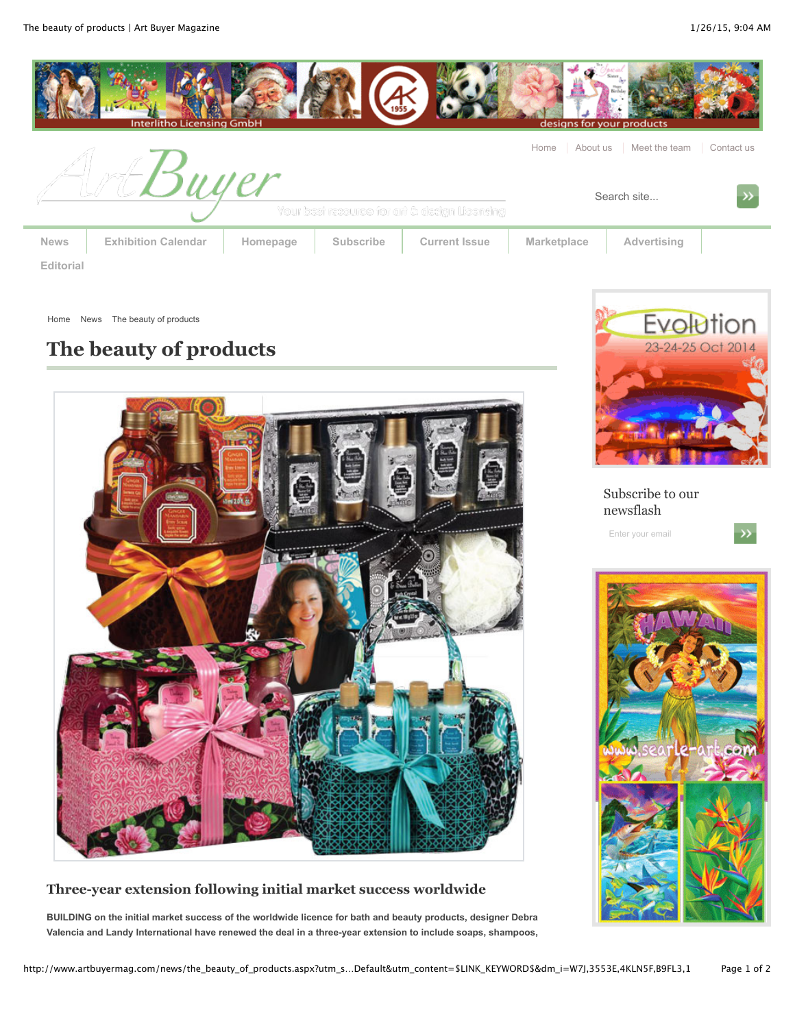

Home News The beauty of products

# **The beauty of products**



**Three-year extension following initial market success worldwide**

**BUILDING on the initial market success of the worldwide licence for bath and beauty products, designer Debra Valencia and Landy International have renewed the deal in a three-year extension to include soaps, shampoos,**



Subscribe to our newsflash

Enter your email